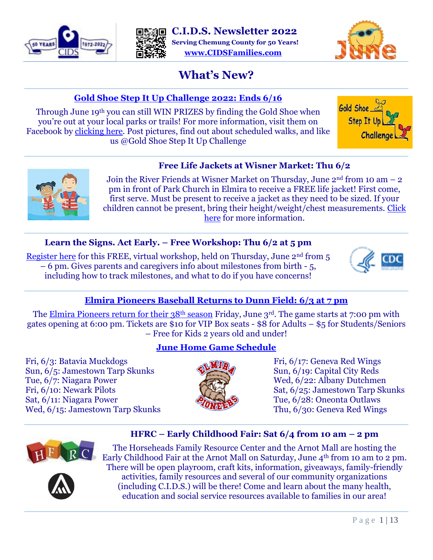





# **What's New?**

# **[Gold Shoe Step It Up Challenge 2022: Ends 6](https://www.facebook.com/goldshoestepitup/photos/a.208828612460701/5463816090295234/)/16**

Through June 19th you can still WIN PRIZES by finding the Gold Shoe when you're out at your local parks or trails! For more information, visit them on Facebook by [clicking here.](https://www.facebook.com/goldshoestepitup/photos/a.208828612460701/5463816090295234/) Post pictures, find out about scheduled walks, and like us @Gold Shoe Step It Up Challenge





# **Free Life Jackets at Wisner Market: Thu 6/2**

Join the River Friends at Wisner Market on Thursday, June  $2<sup>nd</sup>$  from 10 am  $-2$ pm in front of Park Church in Elmira to receive a FREE life jacket! First come, first serve. Must be present to receive a jacket as they need to be sized. If your children cannot be present, bring their height/weight/chest measurements. [Click](https://chemungriverfriends.org/wp/event/free-life-jackets-at-wisner-market/)  [here](https://chemungriverfriends.org/wp/event/free-life-jackets-at-wisner-market/) for more information.

# **Learn the Signs. Act Early. – Free Workshop: Thu 6/2 at 5 pm**

[Register here](https://meetny.webex.com/meetny/j.php?RGID=r1a0454cfd408a996e83c6005c5eea96a) for this FREE, virtual workshop, held on Thursday, June 2<sup>nd</sup> from 5 – 6 pm. Gives parents and caregivers info about milestones from birth - 5, including how to track milestones, and what to do if you have concerns!



# **[Elmira Pioneers Baseball Returns to Dunn Field: 6/3 at 7 pm](https://twitter.com/18SportsAndy/status/1486462069478154251?ref_src=twsrc%5Etfw%7Ctwcamp%5Eembeddedtimeline%7Ctwterm%5Eprofile%3APioneersPGCBL%7Ctwgr%5EeyJ0ZndfZXhwZXJpbWVudHNfY29va2llX2V4cGlyYXRpb24iOnsiYnVja2V0IjoxMjA5NjAwLCJ2ZXJzaW9uIjpudWxsfX0%3D&ref_url=https%3A%2F%2Fwww.theelmirapioneers.com%2F)**

The [Elmira Pioneers return for their 38](https://en.wikipedia.org/wiki/Elmira_Pioneers#:~:text=The%20New%20York%E2%80%93Penn%20League%20affiliate%20of%20the%20Boston,%281974%E2%80%931976%2C%201978%29%20and%20Elmira%20Pioneer-Red%20Sox%20in%201977.)<sup>th</sup> season Friday, June 3<sup>rd</sup>. The game starts at 7:00 pm with gates opening at 6:00 pm. Tickets are \$10 for VIP Box seats - \$8 for Adults – \$5 for Students/Seniors – Free for Kids 2 years old and under!

Fri, 6/3: Batavia Muckdogs Sun, 6/5: Jamestown Tarp Skunks Tue, 6/7: Niagara Power Fri, 6/10: Newark Pilots Sat, 6/11: Niagara Power Wed, 6/15: Jamestown Tarp Skunks

# **[June Home Game Schedule](http://baseball.pointstreak.com/schedule.html?leagueid=1710&seasonid=33314)**



Fri, 6/17: Geneva Red Wings Sun, 6/19: Capital City Reds Wed, 6/22: Albany Dutchmen Sat, 6/25: Jamestown Tarp Skunks Tue, 6/28: Oneonta Outlaws Thu, 6/30: Geneva Red Wings

# **HFRC – Early Childhood Fair: Sat 6/4 from 10 am – 2 pm**



The Horseheads Family Resource Center and the Arnot Mall are hosting the Early Childhood Fair at the Arnot Mall on Saturday, June 4th from 10 am to 2 pm. There will be open playroom, craft kits, information, giveaways, family-friendly activities, family resources and several of our community organizations (including C.I.D.S.) will be there! Come and learn about the many health, education and social service resources available to families in our area!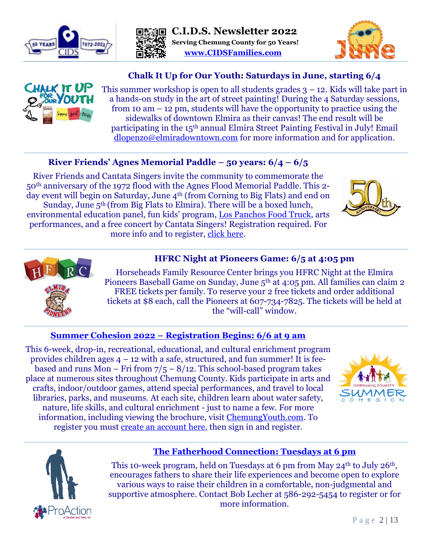





# **Chalk It Up for Our Youth: Saturdays in June, starting 6/4**



This summer workshop is open to all students grades  $3 - 12$ . Kids will take part in a hands-on study in the art of street painting! During the 4 Saturday sessions, from 10 am  $-$  12 pm, students will have the opportunity to practice using the sidewalks of downtown Elmira as their canvas! The end result will be participating in the 15<sup>th</sup> annual Elmira Street Painting Festival in July! Email [dlopenzo@elmiradowntown.com](mailto:dlopenzo@elmiradowntown.com) for more information and for application.

# **River Friends' Agnes Memorial Paddle – 50 years: 6/4 – 6/5**

River Friends and Cantata Singers invite the community to commemorate the 50th anniversary of the 1972 flood with the Agnes Flood Memorial Paddle. This 2 day event will begin on Saturday, June 4<sup>th</sup> (from Corning to Big Flats) and end on Sunday, June 5<sup>th</sup> (from Big Flats to Elmira). There will be a boxed lunch, environmental education panel, fun kids' program, [Los Panchos Food Truck,](http://lospanchostacotruck.com/) arts performances, and a free concert by Cantata Singers! Registration required. For more info and to register, [click here.](https://chemungriverfriends.org/wp/event/agnes-flood-memorial-paddle/)





#### **HFRC Night at Pioneers Game: 6/5 at 4:05 pm**

Horseheads Family Resource Center brings you HFRC Night at the Elmira Pioneers Baseball Game on Sunday, June 5<sup>th</sup> at 4:05 pm. All families can claim 2 FREE tickets per family. To reserve your 2 free tickets and order additional tickets at \$8 each, call the Pioneers at 607-734-7825. The tickets will be held at the "will-call" window.

#### **[Summer Cohesion](https://www.chemungcountyny.gov/567/Summer-Cohesion) 2022 – Registration Begins: 6/6 at 9 am**

This 6-week, drop-in, recreational, educational, and cultural enrichment program provides children ages  $4 - 12$  with a safe, structured, and fun summer! It is feebased and runs Mon – Fri from  $7/5 - 8/12$ . This school-based program takes place at numerous sites throughout Chemung County. Kids participate in arts and crafts, indoor/outdoor games, attend special performances, and travel to local libraries, parks, and museums. At each site, children learn about water safety, nature, life skills, and cultural enrichment - just to name a few. For more information, including viewing the brochure, visit [ChemungYouth.com.](https://www.chemungcountyny.gov/567/Summer-Cohesion) To register you must [create an account here,](https://chemungcountyny.myrec.com/info/household/add_step_01.aspx) then sign in and register.





#### **[The Fatherhood Connection: Tuesdays at 6](https://files.constantcontact.com/2029c0f9001/835fcfea-8dd2-4906-b39c-20c47d30dd30.pdf?rdr=true) pm**

This 10-week program, held on Tuesdays at 6 pm from May 24<sup>th</sup> to July 26<sup>th</sup>, encourages fathers to share their life experiences and become open to explore various ways to raise their children in a comfortable, non-judgmental and supportive atmosphere. Contact Bob Lecher at 586-292-5454 to register or for more information.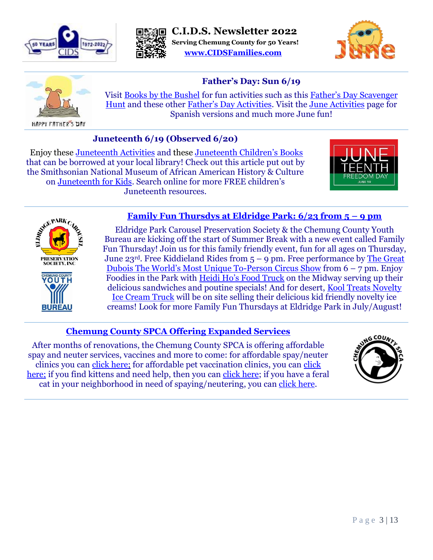







# **Father's Day: Sun 6/19**

Visit [Books by the Bushel](https://www.booksbythebushel.com/free-literacy-activities/) for fun activities such as this [Father's Day Scavenger](https://www.booksbythebushel.com/content/FathersDayScavengerHunt.pdf)  [Hunt](https://www.booksbythebushel.com/content/FathersDayScavengerHunt.pdf) and these other [Father's Day Activities](https://www.booksbythebushel.com/content/FathersDay.pdf). Visit the [June Activities](https://www.booksbythebushel.com/june-activities/) page for Spanish versions and much more June fun!

# **Juneteenth 6/19 (Observed 6/20)**

Enjoy these [Juneteenth Activities](https://www.booksbythebushel.com/content/Juneteenth.pdf) and these [Juneteenth Children's Books](https://starcat.stls.org/client/en_US/default/search/results?qu=juneteenth&qf=-ITEMCAT2%09Item+Category%091%3AADULT%09Adult+%7C%7C+1%3AUNKNOWN%09Unknown+%7C%7C+1%3AYOUNGADULT%09Young+adult&ac=ITEMCAT2%09Item+Category%091%3AADULT%09Adult+%7C%7C+1%3AJUVENILE%09Juvenile+%7C%7C+1%3AUNKNOWN%09Unknown+%7C%7C+1%3AYOUNGADULT%09Young+adult) that can be borrowed at your local library! Check out this article put out by the Smithsonian National Museum of African American History & Culture on [Juneteenth for Kids](https://www.care.com/c/juneteenth-for-kids/#:~:text=The%20Smithsonian%20National%20Museum%20of%20African%20American%20History,Freedman%E2%80%99s%20Bureau.%20Enjoy%3A%20Special%20meal%20with%20loved%20ones.). Search online for more FREE children's Juneteenth resources.





BUREAU

#### **[Family Fun Thursdys at Eldridge Park: 6/23 from 5](https://www.facebook.com/events/502691601189085/?acontext=%7B%22event_action_history%22%3A%5b%7B%22surface%22%3A%22page%22%7D%5d%7D) – 9 pm**

Eldridge Park Carousel Preservation Society & the Chemung County Youth Bureau are kicking off the start of Summer Break with a new event called Family Fun Thursday! Join us for this family friendly event, fun for all ages on Thursday, June 23<sup>rd</sup>. Free Kiddieland Rides from  $5 - 9$  pm. Free performance by The Great [Dubois The World's Most Unique To](https://www.thegreatdubois.com/?fbclid=IwAR0nLasnBABOkrduvhz2W1Qht_Le8LonNZq9TqNyO9kBdB1Z5imO2jk_6PI)-Person Circus Show from 6 – 7 pm. Enjoy Foodies in the Park with [Heidi Ho's Food Truck](https://www.facebook.com/heidihosfoodtruck/?__cft__%5b0%5d=AZXJY6pLeMyIun-hNRMDmpL11wex3_BVcQuLXMQuWCqJqyYvdDuG1iojSoiJI3FscPN03fdNGBfEf4Tnqi2Rfme8fR2YEvHkmAOo__-e81kjzrS-Nd9XUMryhryXMOeVfBw&__tn__=q) on the Midway serving up their delicious sandwiches and poutine specials! And for desert, Kool Treats Novelty [Ice Cream Truck](https://www.facebook.com/kooltreatsicecream?__cft__%5b0%5d=AZXJY6pLeMyIun-hNRMDmpL11wex3_BVcQuLXMQuWCqJqyYvdDuG1iojSoiJI3FscPN03fdNGBfEf4Tnqi2Rfme8fR2YEvHkmAOo__-e81kjzrS-Nd9XUMryhryXMOeVfBw&__tn__=q) will be on site selling their delicious kid friendly novelty ice creams! Look for more Family Fun Thursdays at Eldridge Park in July/August!

# **[Chemung County SPCA Offering Expanded Services](https://www.mytwintiers.com/news-cat/local-news/chemung-county-spca-offering-expanded-services/?utm_source=nextdoor&utm_medium=RSS&utm_campaign=Nextdoor)**

After months of renovations, the Chemung County SPCA is offering affordable spay and neuter services, vaccines and more to come: for affordable spay/neuter clinics you can [click](https://www.chemungspca.org/affordable-spay-neuter-clinics) here; for affordable pet vaccination clinics, you can [click](https://www.chemungspca.org/affordable-vaccination-clinics)  [here;](https://www.chemungspca.org/affordable-vaccination-clinics) if you find kittens and need help, then you can [click](https://www.aspca.org/helping-people-pets/i-found-kittens-what-do-i-do?gclid=Cj0KCQjw1ouKBhC5ARIsAHXNMI9ejIoO31_MOtA7Sf3A-TWLZ6FKWGINeOqNm6XgwYkUFjmuSo-0GDkaAlENEALw_wcB) here; if you have a feral cat in your neighborhood in need of spaying/neutering, you can click [here.](https://www.chemungspca.org/community-cats)

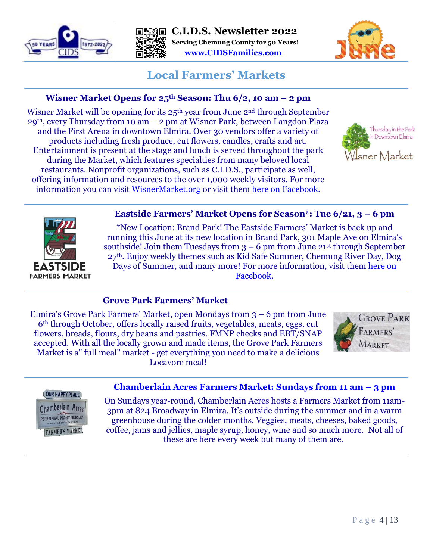





# **Local Farmers' Markets**

# **Wisner Market Opens for 25th Season: Thu 6/2, 10 am – 2 pm**

Wisner Market will be opening for its 25<sup>th</sup> year from June 2<sup>nd</sup> through September  $29<sup>th</sup>$ , every Thursday from 10 am  $-2$  pm at Wisner Park, between Langdon Plaza and the First Arena in downtown Elmira. Over 30 vendors offer a variety of products including fresh produce, cut flowers, candles, crafts and art. Entertainment is present at the stage and lunch is served throughout the park during the Market, which features specialties from many beloved local restaurants. Nonprofit organizations, such as C.I.D.S., participate as well, offering information and resources to the over 1,000 weekly visitors. For more information you can visit [WisnerMarket.org](https://wisnermarket.org/) or visit them [here on Facebook.](https://www.facebook.com/profile.php?id=100064357227149)





#### **Eastside Farmers' Market Opens for Season\*: Tue 6/21, 3 – 6 pm**

\*New Location: Brand Park! The Eastside Farmers' Market is back up and running this June at its new location in Brand Park, 301 Maple Ave on Elmira's southside! Join them Tuesdays from  $3 - 6$  pm from June 21st through September 27th. Enjoy weekly themes such as Kid Safe Summer, Chemung River Day, Dog Days of Summer, and many more! For more information, visit them [here on](https://www.facebook.com/EastSideMarketElmiraNY)  [Facebook.](https://www.facebook.com/EastSideMarketElmiraNY)

# **Grove Park Farmers' Market**

Elmira's Grove Park Farmers' Market, open Mondays from 3 – 6 pm from June 6th through October, offers locally raised fruits, vegetables, meats, eggs, cut flowers, breads, flours, dry beans and pastries. FMNP checks and EBT/SNAP accepted. With all the locally grown and made items, the Grove Park Farmers Market is a" full meal" market - get everything you need to make a delicious Locavore meal!



#### **LOUR HAPPY PLACE**



#### **[Chamberlain Acres Farmers Market: Sundays from 11 am](https://chamberlainacres.com/farmers-market) – 3 pm**

On Sundays year-round, Chamberlain Acres hosts a Farmers Market from 11am-3pm at 824 Broadway in Elmira. It's outside during the summer and in a warm greenhouse during the colder months. Veggies, meats, cheeses, baked goods, coffee, jams and jellies, maple syrup, honey, wine and so much more. Not all of these are here every week but many of them are.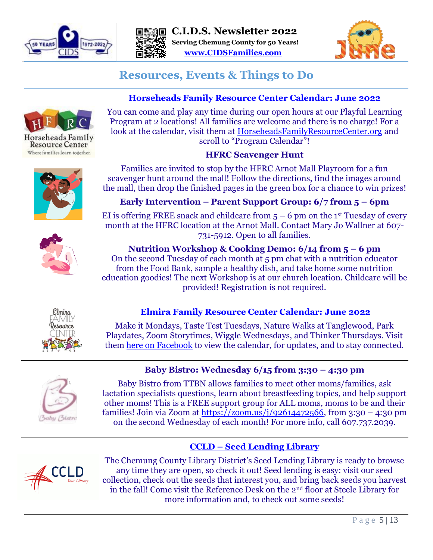





# **Resources, Events & Things to Do**

# **[Horseheads Family Resource Center Calendar: June](http://www.horseheadsfamilyresourcecenter.org/) 2022**

You can come and play any time during our open hours at our Playful Learning Program at 2 locations! All families are welcome and there is no charge! For a look at the calendar, visit them at [HorseheadsFamilyResourceCenter.org](file://///server2016/Shared/Users/kolthof/Desktop/Judy/Newletters/HorseheadsFamilyResourceCenter.org) and scroll to "Program Calendar"!

# **HFRC Scavenger Hunt**

Families are invited to stop by the HFRC Arnot Mall Playroom for a fun scavenger hunt around the mall! Follow the directions, find the images around the mall, then drop the finished pages in the green box for a chance to win prizes!

**Early Intervention – Parent Support Group: 6/7 from 5 – 6pm**

EI is offering FREE snack and childcare from  $5 - 6$  pm on the 1<sup>st</sup> Tuesday of every month at the HFRC location at the Arnot Mall. Contact Mary Jo Wallner at 607- 731-5912. Open to all families.

**Nutrition Workshop & Cooking Demo: 6/14 from 5 – 6 pm** On the second Tuesday of each month at 5 pm chat with a nutrition educator from the Food Bank, sample a healthy dish, and take home some nutrition education goodies! The next Workshop is at our church location. Childcare will be provided! Registration is not required.



# **[Elmira Family Resource Center Calendar: June](https://www.facebook.com/336609863488845/photos/a.356337024849462/1373133563169798/) 2022**

Make it Mondays, Taste Test Tuesdays, Nature Walks at Tanglewood, Park Playdates, Zoom Storytimes, Wiggle Wednesdays, and Thinker Thursdays. Visit them here [on Facebook](https://www.facebook.com/336609863488845/photos/a.356337024849462/1348468128969675/) to view the calendar, for updates, and to stay connected.

# **Baby Bistro: Wednesday 6/15 from 3:30 – 4:30 pm**



Baby Bistro from TTBN allows families to meet other moms/families, ask lactation specialists questions, learn about breastfeeding topics, and help support other moms! This is a FREE support group for ALL moms, moms to be and their families! Join via Zoom at [https://zoom.us/j/92614472566,](https://zoom.us/j/92614472566) from 3:30 – 4:30 pm on the second Wednesday of each month! For more info, call 607.737.2039.

# **CCLD – [Seed Lending Library](https://ccld.lib.ny.us/2019/08/27/grown-from-cclds-seed-lending-library/)**



The Chemung County Library District's Seed Lending Library is ready to browse any time they are open, so check it out! Seed lending is easy: visit our seed collection, check out the seeds that interest you, and bring back seeds you harvest in the fall! Come visit the Reference Desk on the 2nd floor at Steele Library for more information and, to check out some seeds!



Horseheads Family **Resource Center**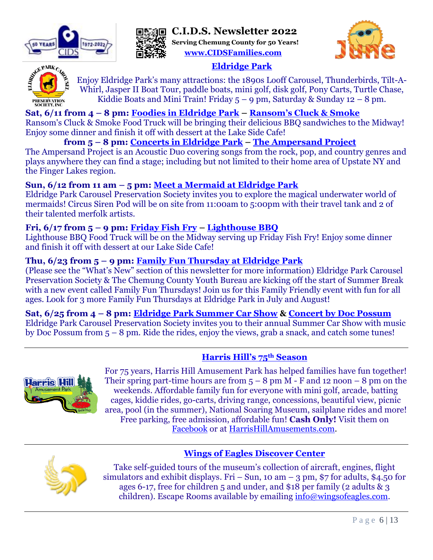

**C.I.D.S. Newsletter 2022 Serving Chemung County for 50 Years!**



**[www.CIDSFamilies.com](http://www.cidsfamilies.com/)**

# **[Eldridge Park](http://eldridgepark.org/new/)**

Enjoy Eldridge Park's many attractions: the 1890s Looff Carousel, Thunderbirds, Tilt-A-Whirl, Jasper II Boat Tour, paddle boats, mini golf, disk golf, Pony Carts, Turtle Chase, Kiddie Boats and Mini Train! Friday  $5 - 9$  pm, Saturday & Sunday  $12 - 8$  pm.

#### **Sat, 6/11 from 4 – 8 pm: [Foodies in Eldridge Park](https://www.facebook.com/events/1122363658309770/?acontext=%7B%22event_action_history%22%3A%5b%7B%22surface%22%3A%22page%22%7D%5d%7D) – [Ransom's Cluck & Smoke](https://www.facebook.com/Ransoms-Cluck-Smoke-102347124846998/)**

Ransom's Cluck & Smoke Food Truck will be bringing their delicious BBQ sandwiches to the Midway! Enjoy some dinner and finish it off with dessert at the Lake Side Cafe!

# **from 5 – 8 pm: [Concerts in Eldridge Park](https://www.facebook.com/events/1623159628038131/?acontext=%7B%22event_action_history%22%3A%5b%7B%22surface%22%3A%22page%22%7D%5d%7D) – [The Ampersand Project](https://www.facebook.com/theampersandprojectmusic)**

The Ampersand Project is an Acoustic Duo covering songs from the rock, pop, and country genres and plays anywhere they can find a stage; including but not limited to their home area of Upstate NY and the Finger Lakes region.

# **Sun, 6/12 from 11 am – 5 pm: [Meet a Mermaid at Eldridge Park](https://www.facebook.com/events/198216425836325/?acontext=%7B%22event_action_history%22%3A%5b%7B%22surface%22%3A%22page%22%7D%5d%7D)**

Eldridge Park Carousel Preservation Society invites you to explore the magical underwater world of mermaids! Circus Siren Pod will be on site from 11:00am to 5:00pm with their travel tank and 2 of their talented merfolk artists.

# **Fri, 6/17 from 5 – 9 pm: [Friday Fish Fry](https://www.facebook.com/events/941510416539762/?acontext=%7B%22event_action_history%22%3A%5b%7B%22surface%22%3A%22page%22%7D%5d%7D) – [Lighthouse BBQ](https://www.facebook.com/wheresmokemeetswater/)**

Lighthouse BBQ Food Truck will be on the Midway serving up Friday Fish Fry! Enjoy some dinner and finish it off with dessert at our Lake Side Cafe!

# **Thu, 6/23 from 5 – 9 pm: [Family Fun Thursday at Eldridge Park](https://www.facebook.com/events/502691601189085/?acontext=%7B%22event_action_history%22%3A%5b%7B%22surface%22%3A%22page%22%7D%5d%7D)**

(Please see the "What's New" section of this newsletter for more information) Eldridge Park Carousel Preservation Society & The Chemung County Youth Bureau are kicking off the start of Summer Break with a new event called Family Fun Thursdays! Join us for this Family Friendly event with fun for all ages. Look for 3 more Family Fun Thursdays at Eldridge Park in July and August!

#### **Sat, 6/25 from 4 – 8 pm: [Eldridge Park Summer Car Show](https://www.facebook.com/events/248384450792971/?acontext=%7B%22event_action_history%22%3A%5b%7B%22surface%22%3A%22page%22%7D%5d%7D) & [Concert by Doc Possum](https://www.facebook.com/events/4780431535371478/?acontext=%7B%22event_action_history%22%3A%5b%7B%22surface%22%3A%22page%22%7D%5d%7D)**

Eldridge Park Carousel Preservation Society invites you to their annual Summer Car Show with music by Doc Possum from 5 – 8 pm. Ride the rides, enjoy the views, grab a snack, and catch some tunes!

# **[Harris Hill](https://harrishillamusements.com/)'s 75th Season**



For 75 years, Harris Hill Amusement Park has helped families have fun together! Their spring part-time hours are from  $5 - 8$  pm M - F and 12 noon  $- 8$  pm on the weekends. Affordable family fun for everyone with mini golf, arcade, batting cages, kiddie rides, go-carts, driving range, concessions, beautiful view, picnic area, pool (in the summer), National Soaring Museum, sailplane rides and more! Free parking, free admission, affordable fun! **Cash Only!** Visit them on [Facebook](https://www.facebook.com/Harris-Hill-Amusement-Park-117441601609100) or at [HarrisHillAmusements.com.](https://harrishillamusements.com/)

**[Wings of Eagles Discover Center](https://www.wingsofeagles.com/)**



Take self-guided tours of the museum's collection of aircraft, engines, flight simulators and exhibit displays. Fri – Sun, 10 am – 3 pm, \$7 for adults, \$4.50 for ages 6-17, free for children 5 and under, and \$18 per family (2 adults & 3 children). Escape Rooms available by emailing [info@wingsofeagles.com.](mailto:info@wingsofeagles.com)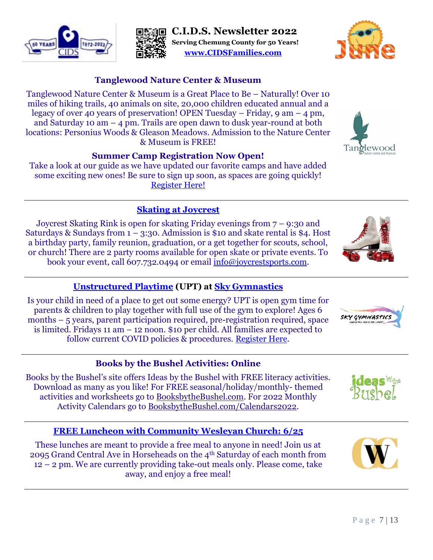#### Saturdays & Sundays from  $1 - 3:30$ . Admission is \$10 and skate rental is \$4. Host a birthday party, family reunion, graduation, or a get together for scouts, school,

**[Skating at Joycrest](https://www.facebook.com/joycrestskatingrink)** Joycrest Skating Rink is open for skating Friday evenings from 7 – 9:30 and

legacy of over 40 years of preservation! OPEN Tuesday – Friday,  $9 \text{ am} - 4 \text{ pm}$ , and Saturday 10 am – 4 pm. Trails are open dawn to dusk year-round at both

& Museum is FREE!

**Summer Camp Registration Now Open!** Take a look at our guide as we have updated our favorite camps and have added some exciting new ones! Be sure to sign up soon, as spaces are going quickly! [Register Here!](https://www.tanglewoodnaturecenter.com/camp?fbclid=IwAR1zSzoChgK19QEg3T4aUbvm0SPYUYQW9gkHW-MNgtoIf4VsJWJwNlHyteU)

or church! There are 2 party rooms available for open skate or private events. To book your event, call 607.732.0494 or email [info@joycrestsports.com.](mailto:info@joycrestsports.com)

# **[Unstructured Playtime](https://www.facebook.com/SkyGymnasticsLLC) (UPT) at [Sky Gymnastics](http://www.skygymnastics.com/)**

Is your child in need of a place to get out some energy? UPT is open gym time for parents & children to play together with full use of the gym to explore! Ages 6 months – 5 years, parent participation required, pre-registration required, space is limited. Fridays 11 am – 12 noon. \$10 per child. All families are expected to follow current COVID policies & procedures. [Register Here.](https://app.jackrabbitclass.com/eventcalendar.asp?orgID=150616)

# **Books by the Bushel Activities: Online**

Books by the Bushel's site offers Ideas by the Bushel with FREE literacy activities. Download as many as you like! For FREE seasonal/holiday/monthly- themed activities and worksheets go to [BooksbytheBushel.com.](https://www.booksbythebushel.com/free-literacy-activities/) For 2022 Monthly Activity Calendars go to [BooksbytheBushel.com/Calendars2022.](https://www.booksbythebushel.com/monthly-activity-calendars-2022/)

# **[FREE Luncheon with Community Wesleyan Church: 6](https://www.commwes.com/calendar?sapurl=Lyt4amd5L2xiL2V2LytzZGhzbTZqP2JyYW5kaW5nPXRydWUmZW1iZWQ9dHJ1ZSZyZWNlbnRSb3V0ZT1hcHAud2ViLWFwcC5saWJyYXJ5LmNhbGVuZGFyJnJlY2VudFJvdXRlU2x1Zz0lMkJqNTQ5NDlkJnN0YXJ0PTE2NDgzMTA0MDA=)/25**

These lunches are meant to provide a free meal to anyone in need! Join us at 2095 Grand Central Ave in Horseheads on the 4th Saturday of each month from 12 – 2 pm. We are currently providing take-out meals only. Please come, take away, and enjoy a free meal!

**[www.CIDSFamilies.com](http://www.cidsfamilies.com/)**





Tanglewood











**SO YEAR!** 



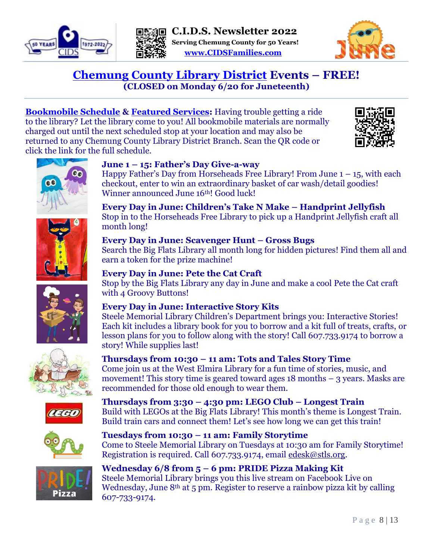





# **[Chemung County Library District](https://ccld.lib.ny.us/) Events – FREE! (CLOSED on Monday 6/20 for Juneteenth)**

**[Bookmobile Schedule](https://ccld.mhsoftware.com/ViewNonBannerMonth.html) & [Featured Services:](https://ccld.lib.ny.us/featured-services/)** Having trouble getting a ride to the library? Let the library come to you! All bookmobile materials are normally charged out until the next scheduled stop at your location and may also be returned to any Chemung County Library District Branch. Scan the QR code or click the link for the full schedule.

**June 1 – 15: Father's Day Give-a-way**

Winner announced June 16<sup>th</sup>! Good luck!







month long!

recommended for those old enough to wear them.

**Tuesdays from 10:30 – 11 am: Family Storytime** 

**Every Day in June: Interactive Story Kits** Steele Memorial Library Children's Department brings you: Interactive Stories! Each kit includes a library book for you to borrow and a kit full of treats, crafts, or lesson plans for you to follow along with the story! Call 607.733.9174 to borrow a story! While supplies last!

Come join us at the West Elmira Library for a fun time of stories, music, and movement! This story time is geared toward ages  $18$  months  $-$  3 years. Masks are









# Registration is required. Call 607.733.9174, email [edesk@stls.org.](mailto:edesk@stls.org) **Wednesday 6/8 from 5 – 6 pm: PRIDE Pizza Making Kit**

**Thursdays from 10:30 – 11 am: Tots and Tales Story Time**

**Thursdays from 3:30 – 4:30 pm: LEGO Club – Longest Train**

Steele Memorial Library brings you this live stream on Facebook Live on Wednesday, June 8<sup>th</sup> at 5 pm. Register to reserve a rainbow pizza kit by calling 607-733-9174.

Build with LEGOs at the Big Flats Library! This month's theme is Longest Train. Build train cars and connect them! Let's see how long we can get this train!

Come to Steele Memorial Library on Tuesdays at 10:30 am for Family Storytime!

# **Every Day in June: Scavenger Hunt – Gross Bugs**

Search the Big Flats Library all month long for hidden pictures! Find them all and earn a token for the prize machine!

Happy Father's Day from Horseheads Free Library! From June  $1 - 15$ , with each

checkout, enter to win an extraordinary basket of car wash/detail goodies!

**Every Day in June: Children's Take N Make – Handprint Jellyfish** Stop in to the Horseheads Free Library to pick up a Handprint Jellyfish craft all

# **Every Day in June: Pete the Cat Craft**

Stop by the Big Flats Library any day in June and make a cool Pete the Cat craft with 4 Groovy Buttons!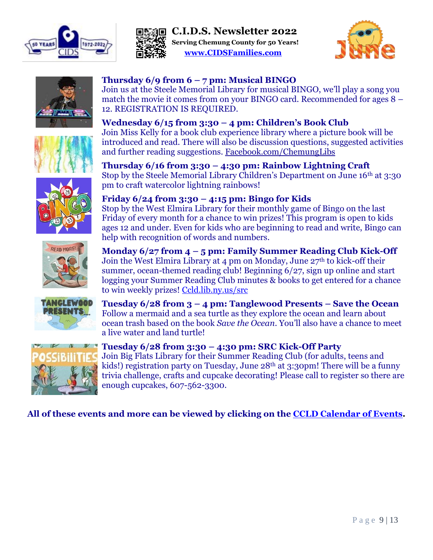













# **Thursday 6/9 from 6 – 7 pm: Musical BINGO**

Join us at the Steele Memorial Library for musical BINGO, we'll play a song you match the movie it comes from on your BINGO card. Recommended for ages 8 – 12. REGISTRATION IS REQUIRED.

# **Wednesday 6/15 from 3:30 – 4 pm: Children's Book Club**

Join Miss Kelly for a book club experience library where a picture book will be introduced and read. There will also be discussion questions, suggested activities and further reading suggestions. [Facebook.com/ChemungLibs](https://www.facebook.com/chemunglibs)

**Thursday 6/16 from 3:30 – 4:30 pm: Rainbow Lightning Craft** Stop by the Steele Memorial Library Children's Department on June 16th at 3:30 pm to craft watercolor lightning rainbows!

# **Friday 6/24 from 3:30 – 4:15 pm: Bingo for Kids**

Stop by the West Elmira Library for their monthly game of Bingo on the last Friday of every month for a chance to win prizes! This program is open to kids ages 12 and under. Even for kids who are beginning to read and write, Bingo can help with recognition of words and numbers.

# **Monday 6/27 from 4 – 5 pm: Family Summer Reading Club Kick-Off**

Join the West Elmira Library at 4 pm on Monday, June 27th to kick-off their summer, ocean-themed reading club! Beginning 6/27, sign up online and start logging your Summer Reading Club minutes & books to get entered for a chance to win weekly prizes! [Ccld.lib.ny.us/src](ccld.lib.ny.us/src)



**Tuesday 6/28 from 3 – 4 pm: Tanglewood Presents – Save the Ocean** Follow a mermaid and a sea turtle as they explore the ocean and learn about ocean trash based on the book *Save the Ocean*. You'll also have a chance to meet a live water and land turtle!



#### **Tuesday 6/28 from 3:30 – 4:30 pm: SRC Kick-Off Party**

Join Big Flats Library for their Summer Reading Club (for adults, teens and kids!) registration party on Tuesday, June 28<sup>th</sup> at 3:30pm! There will be a funny trivia challenge, crafts and cupcake decorating! Please call to register so there are enough cupcakes, 607-562-3300.

# **All of these events and more can be viewed by clicking on the [CCLD Calendar of Events.](https://ccld.mhsoftware.com/ViewCal.html?calendar_id=29)**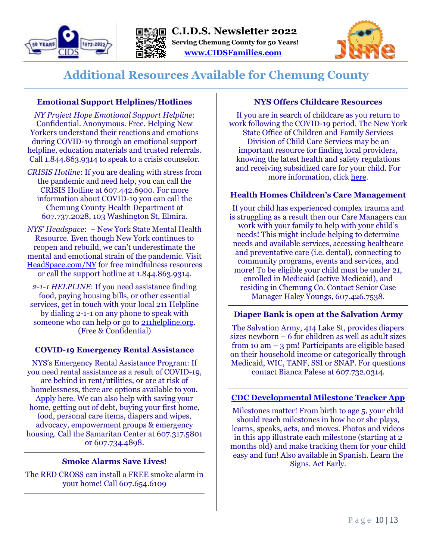





# **Additional Resources Available for Chemung County**

#### **Emotional Support Helplines/Hotlines**

*NY Project Hope Emotional Support Helpline*: Confidential. Anonymous. Free. Helping New Yorkers understand their reactions and emotions during COVID-19 through an emotional support helpline, education materials and trusted referrals. Call 1.844.863.9314 to speak to a crisis counselor.

*CRISIS Hotline*: If you are dealing with stress from the pandemic and need help, you can call the CRISIS Hotline at 607.442.6900. For more information about COVID-19 you can call the Chemung County Health Department at 607.737.2028, 103 Washington St, Elmira.

*NYS' Headspace*: – New York State Mental Health Resource. Even though New York continues to reopen and rebuild, we can't underestimate the mental and emotional strain of the pandemic. Visit [HeadSpace.com/N](https://headspace.com/ny)Y for free mindfulness resources or call the support hotline at 1.844.863.9314.

*2-1-1 HELPLINE*: If you need assistance finding food, paying housing bills, or other essential services, get in touch with your local 211 Helpline by dialing 2-1-1 on any phone to speak with someone who can help or go to [211helpline.org.](file://///server2016/Shared/Users/kolthof/Desktop/Judy/Newletters/211helpline.org) (Free & Confidential)

#### **COVID-19 Emergency Rental Assistance**

NYS's Emergency Rental Assistance Program: If you need rental assistance as a result of COVID-19, are behind in rent/utilities, or are at risk of homelessness, there are options available to you. [Apply here.](https://otda.ny.gov/programs/emergency-rental-assistance/) We can also help with saving your home, getting out of debt, buying your first home, food, personal care items, diapers and wipes, advocacy, empowerment groups & emergency housing. Call the Samaritan Center at 607.317.5801 or 607.734.4898.

#### **Smoke Alarms Save Lives!**

The RED CROSS can install a FREE smoke alarm in your home! Call 607.654.6109

#### **NYS Offers Childcare Resources**

If you are in search of childcare as you return to work following the COVID-19 period, The New York State Office of Children and Family Services Division of Child Care Services may be an important resource for finding local providers, knowing the latest health and safety regulations and receiving subsidized care for your child. For more information, click [here.](http://r20.rs6.net/tn.jsp?t=lqdgxobbb.0.0.cqezqpcab.0&id=preview&r=3&p=https%3A%2F%2Focfs.ny.gov%2Fmain%2Fchildcare%2Flooking.asp)

#### **Health Homes Children's Care Management**

If your child has experienced complex trauma and is struggling as a result then our Care Managers can work with your family to help with your child's needs! This might include helping to determine needs and available services, accessing healthcare and preventative care (i.e. dental), connecting to community programs, events and services, and more! To be eligible your child must be under 21, enrolled in Medicaid (active Medicaid), and residing in Chemung Co. Contact Senior Case Manager Haley Youngs, 607.426.7538.

#### **Diaper Bank is open at the Salvation Army**

The Salvation Army, 414 Lake St, provides diapers sizes newborn – 6 for children as well as adult sizes from 10 am – 3 pm! Participants are eligible based on their household income or categorically through Medicaid, WIC, TANF, SSI or SNAP. For questions contact Bianca Palese at 607.732.0314.

#### **[CDC Developmental Milestone Tracker App](https://www.cdc.gov/ncbddd/actearly/milestones-app.html)**

Milestones matter! From birth to age 5, your child should reach milestones in how he or she plays, learns, speaks, acts, and moves. Photos and videos in this app illustrate each milestone (starting at 2 months old) and make tracking them for your child easy and fun! Also available in Spanish. Learn the Signs. Act Early.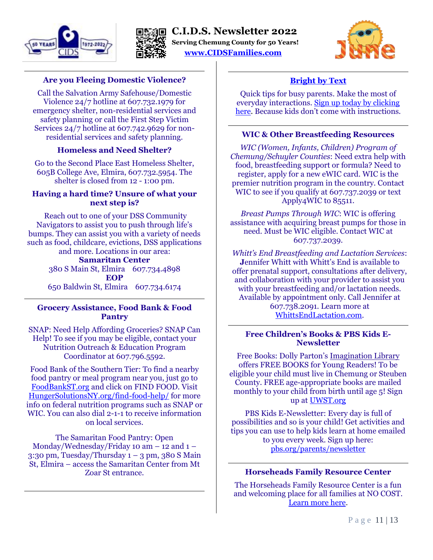





#### **Are you Fleeing Domestic Violence?**

Call the Salvation Army Safehouse/Domestic Violence 24/7 hotline at 607.732.1979 for emergency shelter, non-residential services and safety planning or call the First Step Victim Services 24/7 hotline at 607.742.9629 for nonresidential services and safety planning.

#### **Homeless and Need Shelter?**

Go to the Second Place East Homeless Shelter, 605B College Ave, Elmira, 607.732.5954. The shelter is closed from 12 - 1:00 pm.

#### **Having a hard time? Unsure of what your next step is?**

Reach out to one of your DSS Community Navigators to assist you to push through life's bumps. They can assist you with a variety of needs such as food, childcare, evictions, DSS applications and more. Locations in our area:

#### **Samaritan Center**

380 S Main St, Elmira 607.734.4898 **EOP**  650 Baldwin St, Elmira 607.734.6174

#### **Grocery Assistance, Food Bank & Food Pantry**

SNAP: Need Help Affording Groceries? SNAP Can Help! To see if you may be eligible, contact your Nutrition Outreach & Education Program Coordinator at 607.796.5592.

Food Bank of the Southern Tier: To find a nearby food pantry or meal program near you, just go to [FoodBankST.org](file://///server2016/Shared/Users/kolthof/Desktop/Judy/Newletters/FoodBankST.org) and click on FIND FOOD. Visit [HungerSolutionsNY.org/find-food-help/](file://///server2016/Shared/Users/kolthof/Desktop/Judy/Newletters/HungerSolutionsNY.org/find-food-help/) for more info on federal nutrition programs such as SNAP or WIC. You can also dial 2-1-1 to receive information on local services.

The Samaritan Food Pantry: Open Monday/Wednesday/Friday 10 am  $-$  12 and 1  $-$ 3:30 pm, Tuesday/Thursday  $1 - 3$  pm, 380 S Main St, Elmira – access the Samaritan Center from Mt Zoar St entrance.

# **[Bright by Text](https://brightbytext.org/Families)**

Quick tips for busy parents. Make the most of everyday interactions. [Sign up today by clicking](https://brightbytext.org/Families)  [here.](https://brightbytext.org/Families) Because kids don't come with instructions.

#### **WIC & Other Breastfeeding Resources**

*WIC (Women, Infants, Children) Program of Chemung/Schuyler Counties*: Need extra help with food, breastfeeding support or formula? Need to register, apply for a new eWIC card. WIC is the premier nutrition program in the country. Contact WIC to see if you qualify at 607.737.2039 or text Apply4WIC to 85511.

*Breast Pumps Through WIC*: WIC is offering assistance with acquiring breast pumps for those in need. Must be WIC eligible. Contact WIC at 607.737.2039.

*Whitt's End Breastfeeding and Lactation Services*: **J**ennifer Whitt with Whitt's End is available to offer prenatal support, consultations after delivery, and collaboration with your provider to assist you with your breastfeeding and/or lactation needs. Available by appointment only. Call Jennifer at 607.738.2091. Learn more at [WhittsEndLactation.com.](file://///server2016/Shared/Users/kolthof/Desktop/Judy/Newletters/whittsendlactation.com)

#### **Free Children's Books & PBS Kids E-Newsletter**

Free Books: Dolly Parton's Imagination Library offers FREE BOOKS for Young Readers! To be eligible your child must live in Chemung or Steuben County. FREE age-appropriate books are mailed monthly to your child from birth until age 5! Sign up at [UWST.org](file://///server2016/Shared/Users/kolthof/Desktop/Judy/Newletters/UWST.org)

PBS Kids E-Newsletter: Every day is full of possibilities and so is your child! Get activities and tips you can use to help kids learn at home emailed to you every week. Sign up here: [pbs.org/parents/newsletter](file://///server2016/Shared/Users/kolthof/Desktop/Judy/Newletters/pbs.org/parents/newsletter)

#### **Horseheads Family Resource Center**

The Horseheads Family Resource Center is a fun and welcoming place for all families at NO COST. [Learn more here.](http://www.horseheadsfamilyresourcecenter.org/)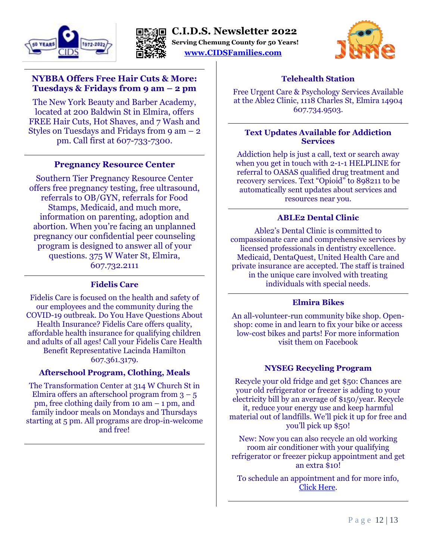





#### **NYBBA Offers Free Hair Cuts & More: Tuesdays & Fridays from 9 am – 2 pm**

The New York Beauty and Barber Academy, located at 200 Baldwin St in Elmira, offers FREE Hair Cuts, Hot Shaves, and 7 Wash and Styles on Tuesdays and Fridays from  $9 \text{ am} - 2$ pm. Call first at 607-733-7300.

#### **Pregnancy Resource Center**

Southern Tier Pregnancy Resource Center offers free pregnancy testing, free ultrasound, referrals to OB/GYN, referrals for Food Stamps, Medicaid, and much more, information on parenting, adoption and abortion. When you're facing an unplanned pregnancy our confidential peer counseling program is designed to answer all of your questions. 375 W Water St, Elmira, 607.732.2111

#### **Fidelis Care**

Fidelis Care is focused on the health and safety of our employees and the community during the COVID-19 outbreak. Do You Have Questions About Health Insurance? Fidelis Care offers quality, affordable health insurance for qualifying children and adults of all ages! Call your Fidelis Care Health Benefit Representative Lacinda Hamilton 607.361.3179.

#### **Afterschool Program, Clothing, Meals**

The Transformation Center at 314 W Church St in Elmira offers an afterschool program from  $3 - 5$ pm, free clothing daily from 10 am – 1 pm, and family indoor meals on Mondays and Thursdays starting at 5 pm. All programs are drop-in-welcome and free!

#### **Telehealth Station**

Free Urgent Care & Psychology Services Available at the Able2 Clinic, 1118 Charles St, Elmira 14904 607.734.9503.

#### **Text Updates Available for Addiction Services**

Addiction help is just a call, text or search away when you get in touch with 2-1-1 HELPLINE for referral to OASAS qualified drug treatment and recovery services. Text "Opioid" to 898211 to be automatically sent updates about services and resources near you.

#### **ABLE2 Dental Clinic**

Able2's Dental Clinic is committed to compassionate care and comprehensive services by licensed professionals in dentistry excellence. Medicaid, DentaQuest, United Health Care and private insurance are accepted. The staff is trained in the unique care involved with treating individuals with special needs.

#### **Elmira Bikes**

An all-volunteer-run community bike shop. Openshop: come in and learn to fix your bike or access low-cost bikes and parts! For more information visit them on Facebook

#### **NYSEG Recycling Program**

Recycle your old fridge and get \$50: Chances are your old refrigerator or freezer is adding to your electricity bill by an average of \$150/year. Recycle it, reduce your energy use and keep harmful material out of landfills. We'll pick it up for free and you'll pick up \$50!

New: Now you can also recycle an old working room air conditioner with your qualifying refrigerator or freezer pickup appointment and get an extra \$10!

To schedule an appointment and for more info, [Click Here.](https://www.nyseg.com/wps/portal/nyseg/saveenergy/rebatesandprograms/appliancerecyclingprogram?gclid=Cj0KCQiArt6PBhCoARIsAMF5wagPqefzc5n3HZFVrJMN4JcWULdOgH9iq1Ji7Qa5pabDdvOy1LwtSlYaAqmVEALw_wcB)